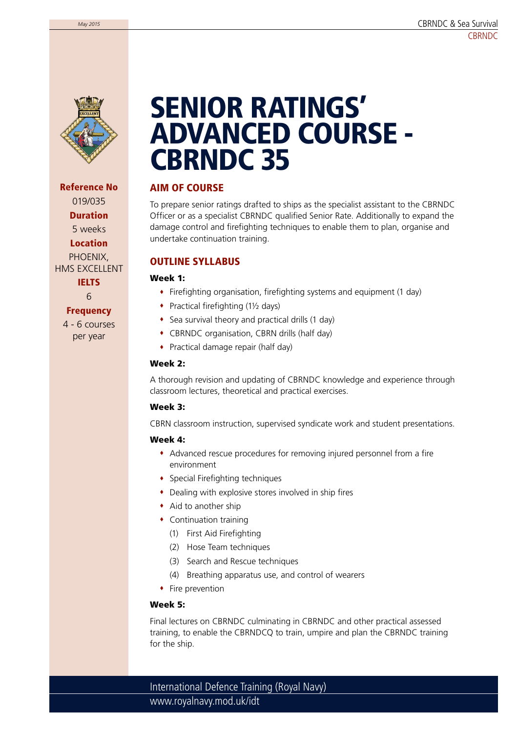

Reference No 019/035 Duration 5 weeks Location PHOENIX, HMS EXCELLENT **IELTS** 6

#### **Frequency**

4 - 6 courses per year

# SENIOR RATINGS' ADVANCED COURSE - CBRNDC 35

### AIM OF COURSE

To prepare senior ratings drafted to ships as the specialist assistant to the CBRNDC Officer or as a specialist CBRNDC qualified Senior Rate. Additionally to expand the damage control and firefighting techniques to enable them to plan, organise and undertake continuation training.

## OUTLINE SYLLABUS

#### Week 1:

- Firefighting organisation, firefighting systems and equipment (1 day)
- ◆ Practical firefighting (1½ days)
- Sea survival theory and practical drills (1 day)
- CBRNDC organisation, CBRN drills (half day)
- Practical damage repair (half day)

#### Week 2:

A thorough revision and updating of CBRNDC knowledge and experience through classroom lectures, theoretical and practical exercises.

#### Week 3:

CBRN classroom instruction, supervised syndicate work and student presentations.

#### Week 4:

- Advanced rescue procedures for removing injured personnel from a fire environment
- Special Firefighting techniques
- Dealing with explosive stores involved in ship fires
- $\bullet$  Aid to another ship
- Continuation training
	- (1) First Aid Firefighting
	- (2) Hose Team techniques
	- (3) Search and Rescue techniques
	- (4) Breathing apparatus use, and control of wearers
- Fire prevention

#### Week 5:

Final lectures on CBRNDC culminating in CBRNDC and other practical assessed training, to enable the CBRNDCQ to train, umpire and plan the CBRNDC training for the ship.

www.royalnavy.mod.uk/idt International Defence Training (Royal Navy)